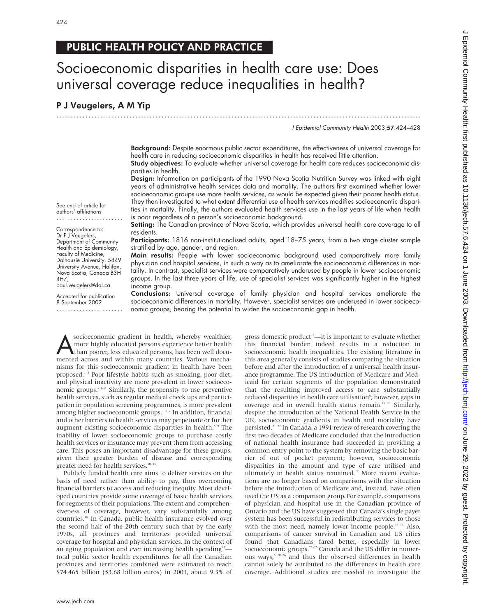## PUBLIC HEALTH POLICY AND PRACTICE

# Socioeconomic disparities in health care use: Does universal coverage reduce inequalities in health?

## P J Veugelers, A M Yip

J Epidemiol Community Health 2003;57:424–428

Background: Despite enormous public sector expenditures, the effectiveness of universal coverage for health care in reducing socioeconomic disparities in health has received little attention.

.............................................................................................................................

Study objectives: To evaluate whether universal coverage for health care reduces socioeconomic disparities in health.

Design: Information on participants of the 1990 Nova Scotia Nutrition Survey was linked with eight years of administrative health services data and mortality. The authors first examined whether lower socioeconomic groups use more health services, as would be expected given their poorer health status. They then investigated to what extent differential use of health services modifies socioeconomic disparities in mortality. Finally, the authors evaluated health services use in the last years of life when health is poor regardless of a person's socioeconomic background.

Setting: The Canadian province of Nova Scotia, which provides universal health care coverage to all residents.

Participants: 1816 non-institutionalised adults, aged 18-75 years, from a two stage cluster sample stratified by age, gender, and region.

Main results: People with lower socioeconomic background used comparatively more family physician and hospital services, in such a way as to ameliorate the socioeconomic differences in mortality. In contrast, specialist services were comparatively underused by people in lower socioeconomic groups. In the last three years of life, use of specialist services was significantly higher in the highest income group.

Conclusions: Universal coverage of family physician and hospital services ameliorate the socioeconomic differences in mortality. However, specialist services are underused in lower socioeconomic groups, bearing the potential to widen the socioeconomic gap in health.

socioeconomic gradient in health, whereby wealthier,<br>more highly educated persons experience better health<br>than poorer, less educated persons, has been well docu-<br>mented across and within many countries. Various mechamore highly educated persons experience better health mented across and within many countries. Various mechanisms for this socioeconomic gradient in health have been proposed.<sup>1-5</sup> Poor lifestyle habits such as smoking, poor diet, and physical inactivity are more prevalent in lower socioeconomic groups.<sup>2 6–8</sup> Similarly, the propensity to use preventive health services, such as regular medical check ups and participation in population screening programmes, is more prevalent among higher socioeconomic groups.<sup>167</sup> In addition, financial and other barriers to health services may perpetuate or further augment existing socioeconomic disparities in health.<sup>5</sup> <sup>9</sup> The inability of lower socioeconomic groups to purchase costly health services or insurance may prevent them from accessing care. This poses an important disadvantage for these groups, given their greater burden of disease and corresponding greater need for health services.<sup>10-15</sup>

Publicly funded health care aims to deliver services on the basis of need rather than ability to pay, thus overcoming financial barriers to access and reducing inequity. Most developed countries provide some coverage of basic health services for segments of their populations. The extent and comprehensiveness of coverage, however, vary substantially among countries.16 In Canada, public health insurance evolved over the second half of the 20th century such that by the early 1970s, all provinces and territories provided universal coverage for hospital and physician services. In the context of an aging population and ever increasing health spending<sup>17</sup> total public sector health expenditures for all the Canadian provinces and territories combined were estimated to reach \$74 465 billion (53.68 billion euros) in 2001, about 9.3% of

this financial burden indeed results in a reduction in socioeconomic health inequalities. The existing literature in this area generally consists of studies comparing the situation before and after the introduction of a universal health insurance programme. The US introduction of Medicare and Medicaid for certain segments of the population demonstrated that the resulting improved access to care substantially reduced disparities in health care utilisation<sup>6</sup>; however, gaps in coverage and in overall health status remain.<sup>19 20</sup> Similarly, despite the introduction of the National Health Service in the UK, socioeconomic gradients in health and mortality have persisted.<sup>21 22</sup> In Canada, a 1991 review of research covering the first two decades of Medicare concluded that the introduction of national health insurance had succeeded in providing a common entry point to the system by removing the basic barrier of out of pocket payment; however, socioeconomic disparities in the amount and type of care utilised and ultimately in health status remained.<sup>12</sup> More recent evaluations are no longer based on comparisons with the situation before the introduction of Medicare and, instead, have often used the US as a comparison group. For example, comparisons of physician and hospital use in the Canadian province of Ontario and the US have suggested that Canada's single payer system has been successful in redistributing services to those with the most need, namely lower income people.<sup>13 14</sup> Also, comparisons of cancer survival in Canadian and US cities found that Canadians fared better, especially in lower socioeconomic groups.<sup>23-25</sup> Canada and the US differ in numerous ways,<sup>5 20 26</sup> and thus the observed differences in health cannot solely be attributed to the differences in health care coverage. Additional studies are needed to investigate the

gross domestic product<sup>18</sup>—it is important to evaluate whether

See end of article for authors' affiliations .......................

Correspondence to: Dr P J Veugelers, Department of Community Health and Epidemiology, Faculty of Medicine, Dalhousie University, 5849 University Avenue, Halifax, Nova Scotia, Canada B3H 4H7; paul.veugelers@dal.ca

Accepted for publication 8 September 2002

.......................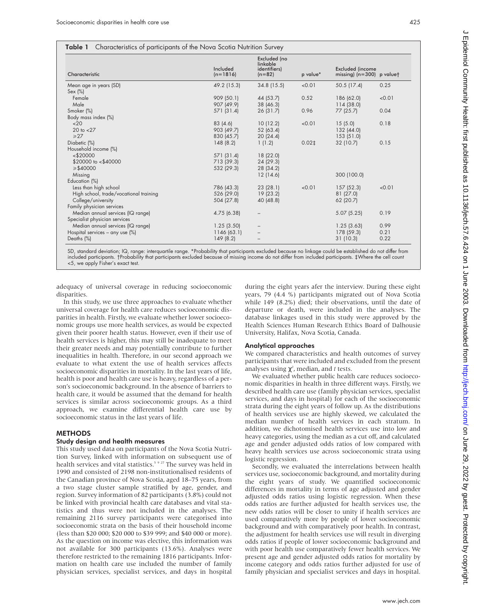|  | Table 1 Characteristics of participants of the Nova Scotia Nutrition Survey |  |  |  |  |  |
|--|-----------------------------------------------------------------------------|--|--|--|--|--|
|--|-----------------------------------------------------------------------------|--|--|--|--|--|

| Characteristic                         | Included<br>$(n=1816)$ | Excluded (no<br>linkable<br>identifiers)<br>$(n=82)$ | p value* | Excluded (income<br>missing) ( $n=300$ ) p valuet |        |
|----------------------------------------|------------------------|------------------------------------------------------|----------|---------------------------------------------------|--------|
| Mean age in years (SD)                 | 49.2 (15.3)            | 34.8(15.5)                                           | < 0.01   | 50.5 (17.4)                                       | 0.25   |
| $Sex (\%)$                             |                        |                                                      |          |                                                   |        |
| Female                                 | 909 (50.1)             | 44 (53.7)                                            | 0.52     | 186 (62.0)                                        | < 0.01 |
| Male                                   | 907 (49.9)             | 38(46.3)                                             |          | 114(38.0)                                         |        |
| Smoker (%)                             | 571 (31.4)             | 26(31.7)                                             | 0.96     | 77 (25.7)                                         | 0.04   |
| Body mass index (%)                    |                        |                                                      |          |                                                   |        |
| $20$                                   | 83 (4.6)               | 10(12.2)                                             | < 0.01   | 15(5.0)                                           | 0.18   |
| $20$ to $< 27$                         | 903 (49.7)             | 52 (63.4)                                            |          | 132 (44.0)                                        |        |
| $\geq 27$                              | 830 (45.7)             | 20(24.4)                                             |          | 153(51.0)                                         |        |
| Diabetic (%)                           | 148(8.2)               | 1(1.2)                                               | 0.021    | 32 (10.7)                                         | 0.15   |
| Household income (%)                   |                        |                                                      |          |                                                   |        |
| $<$ \$20000                            | 571 (31.4)             | 18(22.0)                                             |          |                                                   |        |
| $$20000$ to $< $40000$                 | 713 (39.3)             | 24 (29.3)                                            |          |                                                   |        |
| $\geq$ \$40000                         | 532 (29.3)             | 28 (34.2)                                            |          |                                                   |        |
| Missing                                |                        | 12(14.6)                                             |          | 300 (100.0)                                       |        |
| Education (%)                          |                        |                                                      |          |                                                   |        |
| Less than high school                  | 786 (43.3)             | 23(28.1)                                             | < 0.01   | 157(52.3)                                         | < 0.01 |
| High school, trade/vocational training | 526 (29.0)             | 19(23.2)                                             |          | 81 (27.0)                                         |        |
| College/university                     | 504 (27.8)             | 40 (48.8)                                            |          | 62 (20.7)                                         |        |
| Family physician services              |                        |                                                      |          |                                                   |        |
| Median annual services (IQ range)      | 4.75 (6.38)            |                                                      |          | 5.07(5.25)                                        | 0.19   |
| Specialist physician services          |                        |                                                      |          |                                                   |        |
| Median annual services (IQ range)      | 1.25(3.50)             | -                                                    |          | 1.25(3.63)                                        | 0.99   |
| Hospital services – any use $(\%)$     | 1146(63.1)             |                                                      |          | 178 (59.3)                                        | 0.21   |
| Deaths (%)                             | 149(8.2)               | -                                                    |          | 31(10.3)                                          | 0.22   |
|                                        |                        |                                                      |          |                                                   |        |

SD, standard deviation; IQ, range: interquartile range. \*Probability that participants excluded because no linkage could be established do not ditter from<br>included participants. †Probability that participants excluded beca <5, we apply Fisher's exact test.

adequacy of universal coverage in reducing socioeconomic disparities.

In this study, we use three approaches to evaluate whether universal coverage for health care reduces socioeconomic disparities in health. Firstly, we evaluate whether lower socioeconomic groups use more health services, as would be expected given their poorer health status. However, even if their use of health services is higher, this may still be inadequate to meet their greater needs and may potentially contribute to further inequalities in health. Therefore, in our second approach we evaluate to what extent the use of health services affects socioeconomic disparities in mortality. In the last years of life, health is poor and health care use is heavy, regardless of a person's socioeconomic background. In the absence of barriers to health care, it would be assumed that the demand for health services is similar across socioeconomic groups. As a third approach, we examine differential health care use by socioeconomic status in the last years of life.

## METHODS

#### Study design and health measures

This study used data on participants of the Nova Scotia Nutrition Survey, linked with information on subsequent use of health services and vital statistics.<sup>5,9,27</sup> The survey was held in 1990 and consisted of 2198 non-institutionalised residents of the Canadian province of Nova Scotia, aged 18–75 years, from a two stage cluster sample stratified by age, gender, and region. Survey information of 82 participants (3.8%) could not be linked with provincial health care databases and vital statistics and thus were not included in the analyses. The remaining 2116 survey participants were categorised into socioeconomic strata on the basis of their household income (less than \$20 000; \$20 000 to \$39 999; and \$40 000 or more). As the question on income was elective, this information was not available for 300 participants (13.6%). Analyses were therefore restricted to the remaining 1816 participants. Information on health care use included the number of family physician services, specialist services, and days in hospital

during the eight years afer the interview. During these eight years, 79 (4.4 %) participants migrated out of Nova Scotia while 149 (8.2%) died; their observations, until the date of departure or death, were included in the analyses. The database linkages used in this study were approved by the Health Sciences Human Research Ethics Board of Dalhousie University, Halifax, Nova Scotia, Canada.

## Analytical approaches

We compared characteristics and health outcomes of survey participants that were included and excluded from the present analyses using  $\chi^2$ , median, and *t* tests.

We evaluated whether public health care reduces socioeconomic disparities in health in three different ways. Firstly, we described health care use (family physician services, specialist services, and days in hospital) for each of the socioeconomic strata during the eight years of follow up. As the distributions of health services use are highly skewed, we calculated the median number of health services in each stratum. In addition, we dichotomised health services use into low and heavy categories, using the median as a cut off, and calculated age and gender adjusted odds ratios of low compared with heavy health services use across socioeconomic strata using logistic regression.

Secondly, we evaluated the interrelations between health services use, socioeconomic background, and mortality during the eight years of study. We quantified socioeconomic differences in mortality in terms of age adjusted and gender adjusted odds ratios using logistic regression. When these odds ratios are further adjusted for health services use, the new odds ratios will be closer to unity if health services are used comparatively more by people of lower socioeconomic background and with comparatively poor health. In contrast, the adjustment for health services use will result in diverging odds ratios if people of lower socioeconomic background and with poor health use comparatively fewer health services. We present age and gender adjusted odds ratios for mortality by income category and odds ratios further adjusted for use of family physician and specialist services and days in hospital.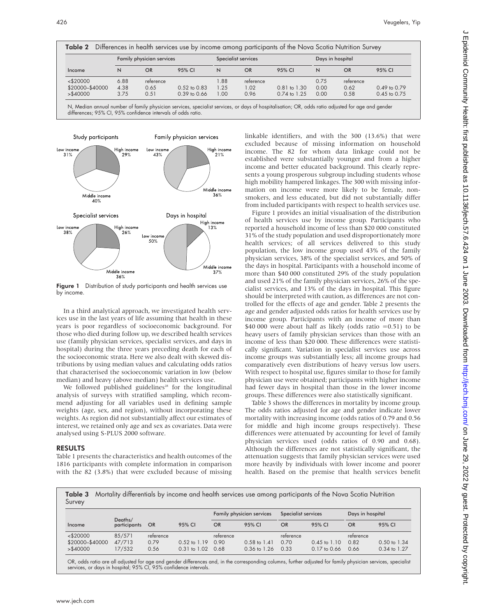|                 | Family physician services |           |                  | Specialist services |           |                  | Days in hospital |           |                  |
|-----------------|---------------------------|-----------|------------------|---------------------|-----------|------------------|------------------|-----------|------------------|
| Income          | N                         | OR        | 95% CI           | N                   | OR        | 95% CI           | N                | OR        | 95% CI           |
| $<$ \$20000     | 6.88                      | reference |                  | 1.88                | reference |                  | 0.75             | reference |                  |
| \$20000-\$40000 | 4.38                      | 0.65      | 0.52 to 0.83     | 1.25                | 1.02      | $0.81$ to $1.30$ | 0.00             | 0.62      | $0.49$ to $0.79$ |
| $>$ \$40000     | 3.75                      | 0.51      | $0.39$ to $0.66$ | 1.00                | 0.96      | $0.74$ to 1.25   | 0.00             | 0.58      | 0.45 to 0.75     |

N, Median annual number of family physician services, specialist services, or days of hospitalisation; OR, odds ratio adjusted for age and gender differences; 95% CI, 95% confidence intervals of odds ratio.



Figure 1 Distribution of study participants and health services use by income.

In a third analytical approach, we investigated health services use in the last years of life assuming that health in these years is poor regardless of socioeconomic background. For those who died during follow up, we described health services use (family physician services, specialist services, and days in hospital) during the three years preceding death for each of the socioeconomic strata. Here we also dealt with skewed distributions by using median values and calculating odds ratios that characterised the socioeconomic variation in low (below median) and heavy (above median) health services use.

We followed published guidelines<sup>28</sup> for the longitudinal analysis of surveys with stratified sampling, which recommend adjusting for all variables used in defining sample weights (age, sex, and region), without incorporating these weights. As region did not substantially affect our estimates of interest, we retained only age and sex as covariates. Data were analysed using S-PLUS 2000 software.

## RESULTS

Table 1 presents the characteristics and health outcomes of the 1816 participants with complete information in comparison with the 82 (3.8%) that were excluded because of missing

linkable identifiers, and with the 300 (13.6%) that were excluded because of missing information on household income. The 82 for whom data linkage could not be established were substantially younger and from a higher income and better educated background. This clearly represents a young prosperous subgroup including students whose high mobility hampered linkages. The 300 with missing information on income were more likely to be female, nonsmokers, and less educated, but did not substantially differ from included participants with respect to health services use.

Figure 1 provides an initial visualisation of the distribution of health services use by income group. Participants who reported a household income of less than \$20 000 constituted 31% of the study population and used disproportionately more health services; of all services delivered to this study population, the low income group used 43% of the family physician services, 38% of the specialist services, and 50% of the days in hospital. Participants with a household income of more than \$40 000 constituted 29% of the study population and used 21% of the family physician services, 26% of the specialist services, and 13% of the days in hospital. This figure should be interpreted with caution, as differences are not controlled for the effects of age and gender. Table 2 presents the age and gender adjusted odds ratios for health services use by income group. Participants with an income of more than \$40 000 were about half as likely (odds ratio  $=0.51$ ) to be heavy users of family physician services than those with an income of less than \$20 000. These differences were statistically significant. Variation in specialist services use across income groups was substantially less; all income groups had comparatively even distributions of heavy versus low users. With respect to hospital use, figures similar to those for family physician use were obtained; participants with higher income had fewer days in hospital than those in the lower income groups. These differences were also statistically significant.

Table 3 shows the differences in mortality by income group. The odds ratios adjusted for age and gender indicate lower mortality with increasing income (odds ratios of 0.79 and 0.56 for middle and high income groups respectively). These differences were attenuated by accounting for level of family physician services used (odds ratios of 0.90 and 0.68). Although the differences are not statistically significant, the attenuation suggests that family physician services were used more heavily by individuals with lower income and poorer health. Based on the premise that health services benefit

Table 3 Mortality differentials by income and health services use among participants of the Nova Scotia Nutrition Survey

|                 |                         |           |                  | Family physician services |                         | Specialist services |                  | Days in hospital |                         |
|-----------------|-------------------------|-----------|------------------|---------------------------|-------------------------|---------------------|------------------|------------------|-------------------------|
| Income          | Deaths/<br>participants | OR        | 95% CI           | OR                        | 95% CI                  | OR                  | 95% CI           | <b>OR</b>        | 95% CI                  |
| $<$ \$20000     | 85/571                  | reference |                  | reference                 |                         | reference           |                  | reference        |                         |
| \$20000-\$40000 | 47/713                  | 0.79      | $0.52$ to $1.19$ | 0.90                      | $0.58$ to 1.41          | 0.70                | $0.45$ to 1.10   | 0.82             | $0.50 \text{ to } 1.34$ |
| $>$ \$40000     | 17/532                  | 0.56      | $0.31$ to $1.02$ | 0.68                      | $0.36 \text{ to } 1.26$ | 0.33                | $0.17$ to $0.66$ | 0.66             | 0.34 to 1.27            |

OR, odds ratio are all adjusted for age and gender differences and, in the corresponding columns, further adjusted for family physician services, specialist services, or days in hospital; 95% CI, 95% confidence intervals.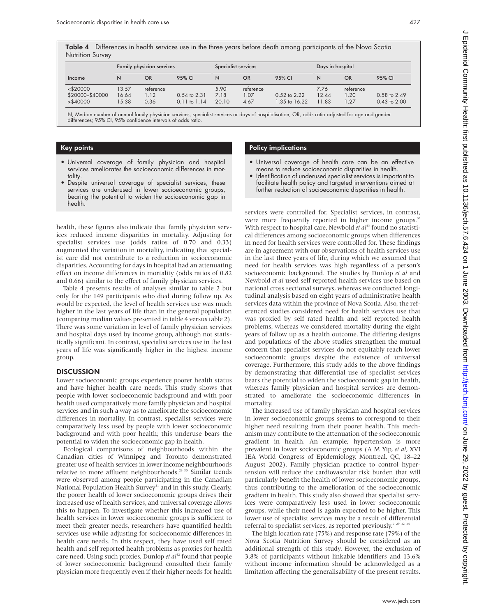Table 4 Differences in health services use in the three years before death among participants of the Nova Scotia Nutrition Survey

| <b>Family physician services</b>              |                         |                           |                                  | Specialist services   |                          |                                   | Days in hospital       |                           |                                  |
|-----------------------------------------------|-------------------------|---------------------------|----------------------------------|-----------------------|--------------------------|-----------------------------------|------------------------|---------------------------|----------------------------------|
| Income                                        | N                       | <b>OR</b>                 | 95% CI                           | N                     | OR                       | 95% CI                            | N                      | OR                        | 95% CI                           |
| $<$ \$20000<br>\$20000-\$40000<br>$>$ \$40000 | 13.57<br>16.64<br>15.38 | reference<br>1.12<br>0.36 | 0.54 to 2.31<br>$0.11$ to $1.14$ | 5.90<br>7.18<br>20.10 | reference<br>.07<br>4.67 | $0.52$ to $2.22$<br>1.35 to 16.22 | 7.76<br>12.44<br>11.83 | reference<br>1.20<br>1.27 | 0.58 to 2.49<br>$0.43$ to $2.00$ |

N, Median number of annual family physician services, specialist services or days of hospitalisation; OR, odds ratio adjusted for age and gender differences; 95% CI, 95% confidence intervals of odds ratio.

## Key points

- Universal coverage of family physician and hospital services ameliorates the socioeconomic differences in mortality.
- Despite universal coverage of specialist services, these services are underused in lower socioeconomic groups, bearing the potential to widen the socioeconomic gap in health.

health, these figures also indicate that family physician services reduced income disparities in mortality. Adjusting for specialist services use (odds ratios of 0.70 and 0.33) augmented the variation in mortality, indicating that specialist care did not contribute to a reduction in socioeconomic disparities. Accounting for days in hospital had an attenuating effect on income differences in mortality (odds ratios of 0.82 and 0.66) similar to the effect of family physician services.

Table 4 presents results of analyses similar to table 2 but only for the 149 participants who died during follow up. As would be expected, the level of health services use was much higher in the last years of life than in the general population (comparing median values presented in table 4 versus table 2). There was some variation in level of family physician services and hospital days used by income group, although not statistically significant. In contrast, specialist services use in the last years of life was significantly higher in the highest income group.

#### **DISCUSSION**

Lower socioeconomic groups experience poorer health status and have higher health care needs. This study shows that people with lower socioeconomic background and with poor health used comparatively more family physician and hospital services and in such a way as to ameliorate the socioeconomic differences in mortality. In contrast, specialist services were comparatively less used by people with lower socioeconomic background and with poor health; this underuse bears the potential to widen the socioeconomic gap in health.

Ecological comparisons of neighbourhoods within the Canadian cities of Winnipeg and Toronto demonstrated greater use of health services in lower income neighbourhoods relative to more affluent neighbourhoods.<sup>29 30</sup> Similar trends were observed among people participating in the Canadian National Population Health Survey<sup>31</sup> and in this study. Clearly, the poorer health of lower socioeconomic groups drives their increased use of health services, and universal coverage allows this to happen. To investigate whether this increased use of health services in lower socioeconomic groups is sufficient to meet their greater needs, researchers have quantified health services use while adjusting for socioeconomic differences in health care needs. In this respect, they have used self rated health and self reported health problems as proxies for health care need. Using such proxies, Dunlop et al<sup>32</sup> found that people of lower socioeconomic background consulted their family physician more frequently even if their higher needs for health

## Policy implications

- Universal coverage of health care can be an effective means to reduce socioeconomic disparities in health.
- Identification of underused specialist services is important to facilitate health policy and targeted interventions aimed at further reduction of socioeconomic disparities in health.

services were controlled for. Specialist services, in contrast, were more frequently reported in higher income groups.<sup>32</sup> With respect to hospital care, Newbold et al<sup>33</sup> found no statistical differences among socioeconomic groups when differences in need for health services were controlled for. These findings are in agreement with our observations of health services use in the last three years of life, during which we assumed that need for health services was high regardless of a person's socioeconomic background. The studies by Dunlop *et al* and Newbold *et al* used self reported health services use based on national cross sectional surveys, whereas we conducted longitudinal analysis based on eight years of administrative health services data within the province of Nova Scotia. Also, the referenced studies considered need for health services use that was proxied by self rated health and self reported health problems, whereas we considered mortality during the eight years of follow up as a health outcome. The differing designs and populations of the above studies strengthen the mutual concern that specialist services do not equitably reach lower socioeconomic groups despite the existence of universal coverage. Furthermore, this study adds to the above findings by demonstrating that differential use of specialist services bears the potential to widen the socioeconomic gap in health, whereas family physician and hospital services are demonstrated to ameliorate the socioeconomic differences in mortality.

The increased use of family physician and hospital services in lower socioeconomic groups seems to correspond to their higher need resulting from their poorer health. This mechanism may contribute to the attenuation of the socioeconomic gradient in health. An example; hypertension is more prevalent in lower socioeconomic groups (A M Yip, *et al*, XVI IEA World Congress of Epidemiology, Montreal, QC, 18–22 August 2002). Family physician practice to control hypertension will reduce the cardiovascular risk burden that will particularly benefit the health of lower socioeconomic groups, thus contributing to the amelioration of the socioeconomic gradient in health. This study also showed that specialist services were comparatively less used in lower socioeconomic groups, while their need is again expected to be higher. This lower use of specialist services may be a result of differential referral to specialist services, as reported previously.<sup>7 29 32</sup> <sup>3</sup>

The high location rate (75%) and response rate (79%) of the Nova Scotia Nutrition Survey should be considered as an additional strength of this study. However, the exclusion of 3.8% of participants without linkable identifiers and 13.6% without income information should be acknowledged as a limitation affecting the generalisability of the present results.